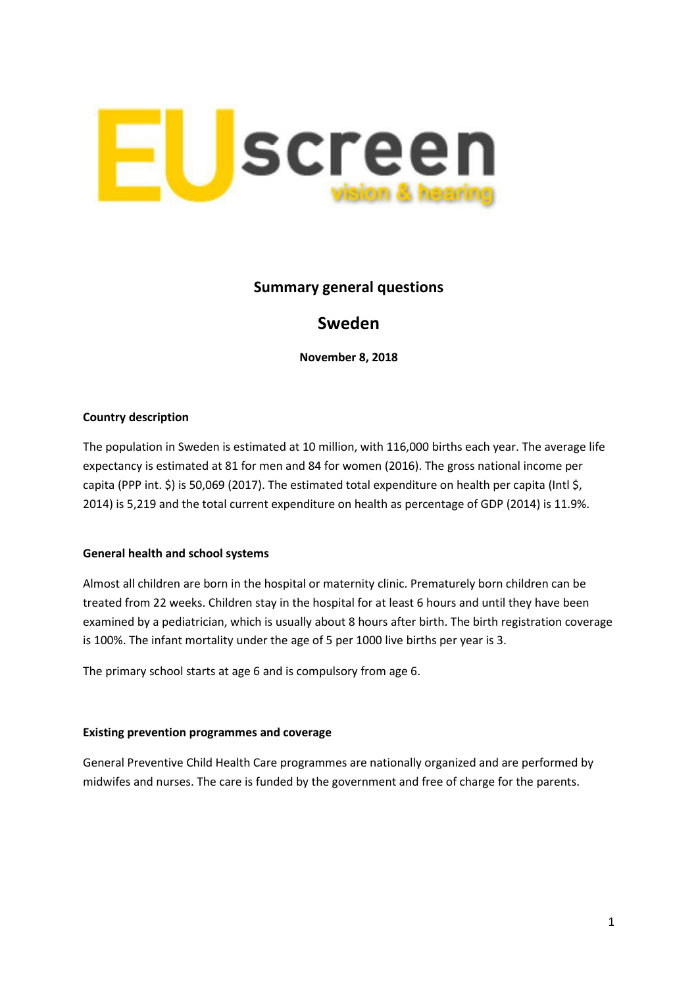

## **Summary general questions**

# **Sweden**

**November 8, 2018**

### **Country description**

The population in Sweden is estimated at 10 million, with 116,000 births each year. The average life expectancy is estimated at 81 for men and 84 for women (2016). The gross national income per capita (PPP int. \$) is 50,069 (2017). The estimated total expenditure on health per capita (Intl \$, 2014) is 5,219 and the total current expenditure on health as percentage of GDP (2014) is 11.9%.

### **General health and school systems**

Almost all children are born in the hospital or maternity clinic. Prematurely born children can be treated from 22 weeks. Children stay in the hospital for at least 6 hours and until they have been examined by a pediatrician, which is usually about 8 hours after birth. The birth registration coverage is 100%. The infant mortality under the age of 5 per 1000 live births per year is 3.

The primary school starts at age 6 and is compulsory from age 6.

#### **Existing prevention programmes and coverage**

General Preventive Child Health Care programmes are nationally organized and are performed by midwifes and nurses. The care is funded by the government and free of charge for the parents.